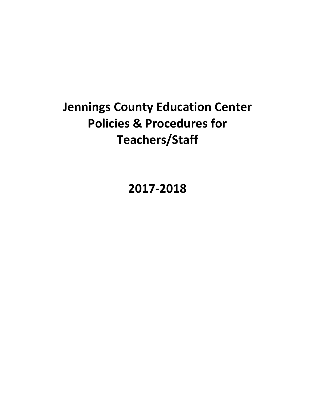# **Jennings County Education Center Policies & Procedures for** Teachers/Staff

**2017-2018**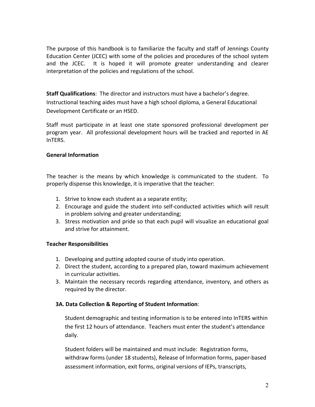The purpose of this handbook is to familiarize the faculty and staff of Jennings County Education Center (JCEC) with some of the policies and procedures of the school system and the JCEC. It is hoped it will promote greater understanding and clearer interpretation of the policies and regulations of the school.

**Staff Qualifications**: The director and instructors must have a bachelor's degree. Instructional teaching aides must have a high school diploma, a General Educational Development Certificate or an HSED.

Staff must participate in at least one state sponsored professional development per program year. All professional development hours will be tracked and reported in AE InTERS.

## **General Information**

The teacher is the means by which knowledge is communicated to the student. To properly dispense this knowledge, it is imperative that the teacher:

- 1. Strive to know each student as a separate entity;
- 2. Encourage and guide the student into self-conducted activities which will result in problem solving and greater understanding;
- 3. Stress motivation and pride so that each pupil will visualize an educational goal and strive for attainment.

# **Teacher Responsibilities**

- 1. Developing and putting adopted course of study into operation.
- 2. Direct the student, according to a prepared plan, toward maximum achievement in curricular activities.
- 3. Maintain the necessary records regarding attendance, inventory, and others as required by the director.

# **3A. Data Collection & Reporting of Student Information:**

Student demographic and testing information is to be entered into InTERS within the first 12 hours of attendance. Teachers must enter the student's attendance daily.

Student folders will be maintained and must include: Registration forms, withdraw forms (under 18 students), Release of Information forms, paper-based assessment information, exit forms, original versions of IEPs, transcripts,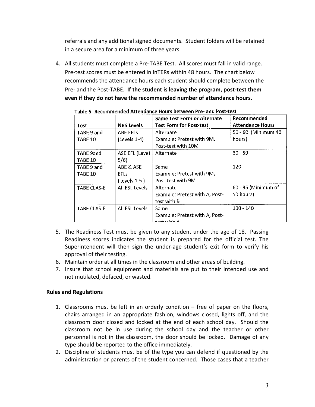referrals and any additional signed documents. Student folders will be retained in a secure area for a minimum of three years.

4. All students must complete a Pre-TABE Test. All scores must fall in valid range. Pre-test scores must be entered in InTERs within 48 hours. The chart below recommends the attendance hours each student should complete between the Pre- and the Post-TABE. If the student is leaving the program, post-test them even if they do not have the recommended number of attendance hours.

| Test                        | <b>NRS Levels</b>             | <b>Same Test Form or Alternate</b><br><b>Test Form for Post-test</b>  | Recommended<br><b>Attendance Hours</b> |
|-----------------------------|-------------------------------|-----------------------------------------------------------------------|----------------------------------------|
| TABE 9 and                  | <b>ABE EFLS</b>               | Alternate                                                             | 50 - 60 (Minimum 40                    |
| TABE 10                     | $(Levels 1-4)$                | Example: Pretest with 9M,<br>Post-test with 10M                       | hours)                                 |
| <b>TABE 9and</b><br>TABE 10 | <b>ASE EFL (Level</b><br>5/6) | Alternate                                                             | $30 - 59$                              |
| TABE 9 and                  | ABE & ASE                     | Same                                                                  | 120                                    |
| TABE 10                     | <b>EFLs</b><br>$(levels 1-5)$ | Example: Pretest with 9M,<br>Post-test with 9M                        |                                        |
| <b>TABE CLAS-E</b>          | All ESL Levels                | Alternate<br>Example: Pretest with A, Post-<br>test with B            | 60 - 95 (Minimum of<br>50 hours)       |
| <b>TABE CLAS-E</b>          | All ESL Levels                | Same<br>Example: Pretest with A, Post-<br>المالية والمقاربة والمستحدث | $100 - 140$                            |

Table 5- Recommended Attendance Hours between Pre- and Post-test

- 5. The Readiness Test must be given to any student under the age of 18. Passing Readiness scores indicates the student is prepared for the official test. The Superintendent will then sign the under-age student's exit form to verify his approval of their testing.
- 6. Maintain order at all times in the classroom and other areas of building.
- 7. Insure that school equipment and materials are put to their intended use and not mutilated, defaced, or wasted.

# **Rules and Regulations**

- 1. Classrooms must be left in an orderly condition  $-$  free of paper on the floors, chairs arranged in an appropriate fashion, windows closed, lights off, and the classroom door closed and locked at the end of each school day. Should the classroom not be in use during the school day and the teacher or other personnel is not in the classroom, the door should be locked. Damage of any type should be reported to the office immediately.
- 2. Discipline of students must be of the type you can defend if questioned by the administration or parents of the student concerned. Those cases that a teacher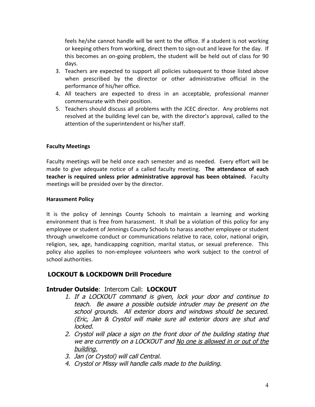feels he/she cannot handle will be sent to the office. If a student is not working or keeping others from working, direct them to sign-out and leave for the day. If this becomes an on-going problem, the student will be held out of class for 90 days.

- 3. Teachers are expected to support all policies subsequent to those listed above when prescribed by the director or other administrative official in the performance of his/her office.
- 4. All teachers are expected to dress in an acceptable, professional manner commensurate with their position.
- 5. Teachers should discuss all problems with the JCEC director. Any problems not resolved at the building level can be, with the director's approval, called to the attention of the superintendent or his/her staff.

# **Faculty Meetings**

Faculty meetings will be held once each semester and as needed. Every effort will be made to give adequate notice of a called faculty meeting. The attendance of each **teacher is required unless prior administrative approval has been obtained.** Faculty meetings will be presided over by the director.

# **Harassment Policy**

It is the policy of Jennings County Schools to maintain a learning and working environment that is free from harassment. It shall be a violation of this policy for any employee or student of Jennings County Schools to harass another employee or student through unwelcome conduct or communications relative to race, color, national origin, religion, sex, age, handicapping cognition, marital status, or sexual preference. This policy also applies to non-employee volunteers who work subject to the control of school authorities.

# **LOCKOUT & LOCKDOWN Drill Procedure**

# **Intruder Outside**: Intercom Call: **LOCKOUT**

- 1. If a LOCKOUT command is given, lock your door and continue to teach. Be aware a possible outside intruder may be present on the school grounds. All exterior doors and windows should be secured. (Eric, Jan & Crystol will make sure all exterior doors are shut and locked.
- 2. Crystol will place a sign on the front door of the building stating that we are currently on a LOCKOUT and No one is allowed in or out of the building.
- 3. Jan (or Crystol) will call Central.
- 4. Crystol or Missy will handle calls made to the building.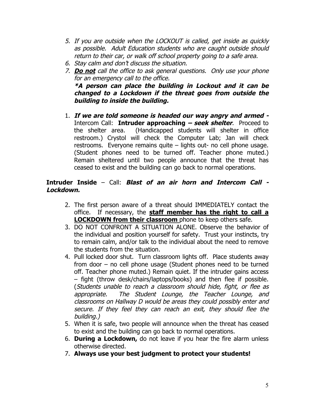- 5. If you are outside when the LOCKOUT is called, get inside as quickly as possible. Adult Education students who are caught outside should return to their car, or walk off school property going to a safe area.
- 6. Stay calm and don't discuss the situation.
- 7. **Do not** call the office to ask general questions. Only use your phone for an emergency call to the office. **\*A person can place the building in Lockout and it can be changed to a Lockdown if the threat goes from outside the building to inside the building.**
- 1. **If we are told someone is headed our way angry and armed -** Intercom Call: **Intruder approaching – seek shelter**. Proceed to the shelter area. (Handicapped students will shelter in office restroom.) Crystol will check the Computer Lab; Jan will check restrooms. Everyone remains quite – lights out- no cell phone usage. (Student phones need to be turned off. Teacher phone muted.) Remain sheltered until two people announce that the threat has ceased to exist and the building can go back to normal operations.

# **Intruder Inside** – Call: **Blast of an air horn and Intercom Call - Lockdown.**

- 2. The first person aware of a threat should IMMEDIATELY contact the office. If necessary, the **staff member has the right to call a LOCKDOWN from their classroom** phone to keep others safe.
- 3. DO NOT CONFRONT A SITUATION ALONE. Observe the behavior of the individual and position yourself for safety. Trust your instincts, try to remain calm, and/or talk to the individual about the need to remove the students from the situation.
- 4. Pull locked door shut. Turn classroom lights off. Place students away from door – no cell phone usage (Student phones need to be turned off. Teacher phone muted.) Remain quiet. If the intruder gains access – fight (throw desk/chairs/laptops/books) and then flee if possible. (Students unable to reach a classroom should hide, fight, or flee as appropriate. The Student Lounge, the Teacher Lounge, and classrooms on Hallway D would be areas they could possibly enter and secure. If they feel they can reach an exit, they should flee the building.)
- 5. When it is safe, two people will announce when the threat has ceased to exist and the building can go back to normal operations.
- 6. **During a Lockdown,** do not leave if you hear the fire alarm unless otherwise directed.
- 7. **Always use your best judgment to protect your students!**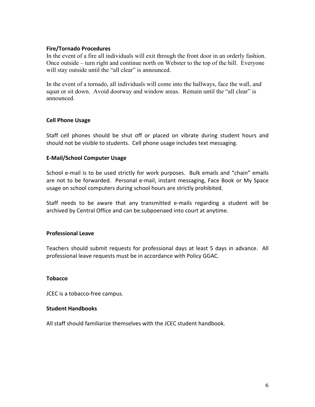### **Fire/Tornado Procedures**

In the event of a fire all individuals will exit through the front door in an orderly fashion. Once outside – turn right and continue north on Webster to the top of the hill. Everyone will stay outside until the "all clear" is announced.

In the event of a tornado, all individuals will come into the hallways, face the wall, and squat or sit down. Avoid doorway and window areas. Remain until the "all clear" is announced.

## **Cell Phone Usage**

Staff cell phones should be shut off or placed on vibrate during student hours and should not be visible to students. Cell phone usage includes text messaging.

## **E-Mail/School Computer Usage**

School e-mail is to be used strictly for work purposes. Bulk emails and "chain" emails are not to be forwarded. Personal e-mail, instant messaging, Face Book or My Space usage on school computers during school hours are strictly prohibited.

Staff needs to be aware that any transmitted e-mails regarding a student will be archived by Central Office and can be subpoenaed into court at anytime.

### **Professional Leave**

Teachers should submit requests for professional days at least 5 days in advance. All professional leave requests must be in accordance with Policy GGAC.

### **Tobacco**

JCEC is a tobacco-free campus.

### **Student Handbooks**

All staff should familiarize themselves with the JCEC student handbook.